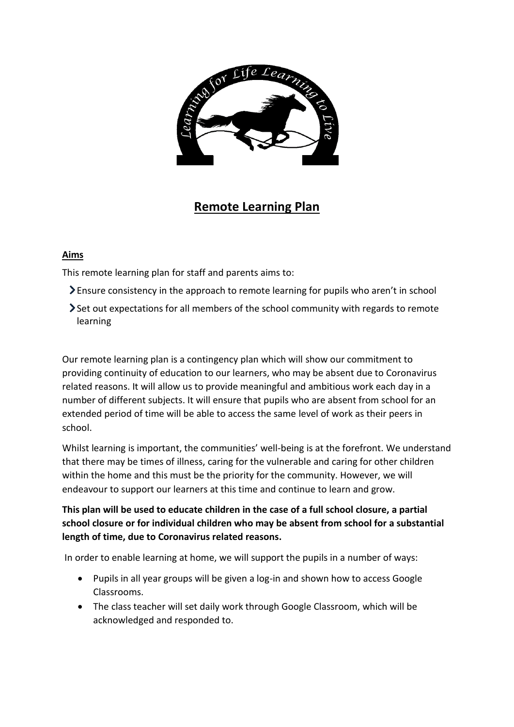

## **Remote Learning Plan**

## **Aims**

This remote learning plan for staff and parents aims to:

- Ensure consistency in the approach to remote learning for pupils who aren't in school
- Set out expectations for all members of the school community with regards to remote learning

Our remote learning plan is a contingency plan which will show our commitment to providing continuity of education to our learners, who may be absent due to Coronavirus related reasons. It will allow us to provide meaningful and ambitious work each day in a number of different subjects. It will ensure that pupils who are absent from school for an extended period of time will be able to access the same level of work as their peers in school.

Whilst learning is important, the communities' well-being is at the forefront. We understand that there may be times of illness, caring for the vulnerable and caring for other children within the home and this must be the priority for the community. However, we will endeavour to support our learners at this time and continue to learn and grow.

## **This plan will be used to educate children in the case of a full school closure, a partial school closure or for individual children who may be absent from school for a substantial length of time, due to Coronavirus related reasons.**

In order to enable learning at home, we will support the pupils in a number of ways:

- Pupils in all year groups will be given a log-in and shown how to access Google Classrooms.
- The class teacher will set daily work through Google Classroom, which will be acknowledged and responded to.